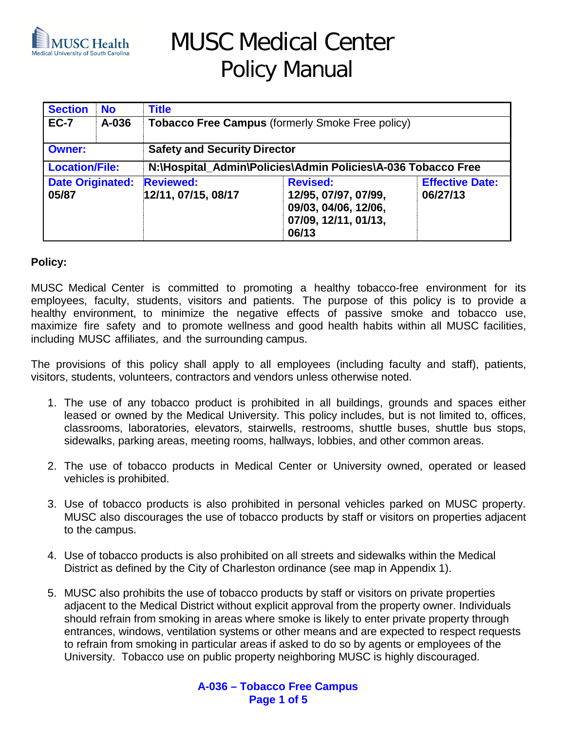

# MUSC Medical Center Policy Manual

| <b>Section</b>                   | <b>No</b> | <b>Title</b>                                                 |                                                                                                  |                                    |  |
|----------------------------------|-----------|--------------------------------------------------------------|--------------------------------------------------------------------------------------------------|------------------------------------|--|
| <b>EC-7</b>                      | A-036     | Tobacco Free Campus (formerly Smoke Free policy)             |                                                                                                  |                                    |  |
| <b>Owner:</b>                    |           | <b>Safety and Security Director</b>                          |                                                                                                  |                                    |  |
| <b>Location/File:</b>            |           | N:\Hospital_Admin\Policies\Admin Policies\A-036 Tobacco Free |                                                                                                  |                                    |  |
| <b>Date Originated:</b><br>05/87 |           | <b>Reviewed:</b><br>12/11, 07/15, 08/17                      | <b>Revised:</b><br>12/95, 07/97, 07/99,<br>09/03, 04/06, 12/06,<br>07/09, 12/11, 01/13,<br>06/13 | <b>Effective Date:</b><br>06/27/13 |  |

#### **Policy:**

MUSC Medical Center is committed to promoting a healthy tobacco-free environment for its employees, faculty, students, visitors and patients. The purpose of this policy is to provide a healthy environment, to minimize the negative effects of passive smoke and tobacco use, maximize fire safety and to promote wellness and good health habits within all MUSC facilities, including MUSC affiliates, and the surrounding campus.

The provisions of this policy shall apply to all employees (including faculty and staff), patients, visitors, students, volunteers, contractors and vendors unless otherwise noted.

- 1. The use of any tobacco product is prohibited in all buildings, grounds and spaces either leased or owned by the Medical University. This policy includes, but is not limited to, offices, classrooms, laboratories, elevators, stairwells, restrooms, shuttle buses, shuttle bus stops, sidewalks, parking areas, meeting rooms, hallways, lobbies, and other common areas.
- 2. The use of tobacco products in Medical Center or University owned, operated or leased vehicles is prohibited.
- 3. Use of tobacco products is also prohibited in personal vehicles parked on MUSC property. MUSC also discourages the use of tobacco products by staff or visitors on properties adjacent to the campus.
- 4. Use of tobacco products is also prohibited on all streets and sidewalks within the Medical District as defined by the City of Charleston ordinance (see map in Appendix 1).
- 5. MUSC also prohibits the use of tobacco products by staff or visitors on private properties adjacent to the Medical District without explicit approval from the property owner. Individuals should refrain from smoking in areas where smoke is likely to enter private property through entrances, windows, ventilation systems or other means and are expected to respect requests to refrain from smoking in particular areas if asked to do so by agents or employees of the University. Tobacco use on public property neighboring MUSC is highly discouraged.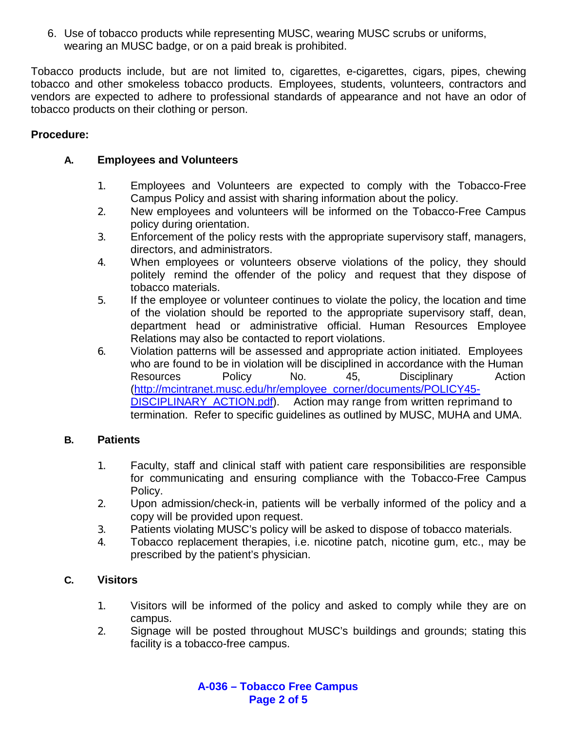6. Use of tobacco products while representing MUSC, wearing MUSC scrubs or uniforms, wearing an MUSC badge, or on a paid break is prohibited.

Tobacco products include, but are not limited to, cigarettes, e-cigarettes, cigars, pipes, chewing tobacco and other smokeless tobacco products. Employees, students, volunteers, contractors and vendors are expected to adhere to professional standards of appearance and not have an odor of tobacco products on their clothing or person.

# **Procedure:**

# **A. Employees and Volunteers**

- 1. Employees and Volunteers are expected to comply with the Tobacco-Free Campus Policy and assist with sharing information about the policy.
- 2. New employees and volunteers will be informed on the Tobacco-Free Campus policy during orientation.
- 3. Enforcement of the policy rests with the appropriate supervisory staff, managers, directors, and administrators.
- 4. When employees or volunteers observe violations of the policy, they should politely remind the offender of the policy and request that they dispose of tobacco materials.
- 5. If the employee or volunteer continues to violate the policy, the location and time of the violation should be reported to the appropriate supervisory staff, dean, department head or administrative official. Human Resources Employee Relations may also be contacted to report violations.
- 6. Violation patterns will be assessed and appropriate action initiated. Employees who are found to be in violation will be disciplined in accordance with the Human Resources Policy No. 45, [Disciplinary](http://www.musc.edu/hrm2/policies/policy45.html) [Action](http://mcintranet.musc.edu/hr/employee_corner/documents/POLICY45-DISCIPLINARY_ACTION.pdf) [\(http://mcintranet.musc.edu/hr/employee\\_corner/documents/POLICY45-](http://mcintranet.musc.edu/hr/employee_corner/documents/POLICY45-DISCIPLINARY_ACTION.pdf) DISCIPLINARY ACTION.pdf). Action may range from written reprimand to termination. Refer to specific guidelines as outlined by MUSC, MUHA and UMA.

# **B. Patients**

- 1. Faculty, staff and clinical staff with patient care responsibilities are responsible for communicating and ensuring compliance with the Tobacco-Free Campus Policy.
- 2. Upon admission/check-in, patients will be verbally informed of the policy and a copy will be provided upon request.
- 3. Patients violating MUSC's policy will be asked to dispose of tobacco materials.
- 4. Tobacco replacement therapies, i.e. nicotine patch, nicotine gum, etc., may be prescribed by the patient's physician.

# **C. Visitors**

- 1. Visitors will be informed of the policy and asked to comply while they are on campus.
- 2. Signage will be posted throughout MUSC's buildings and grounds; stating this facility is a tobacco-free campus.

**A-036 – Tobacco Free Campus Page 2 of 5**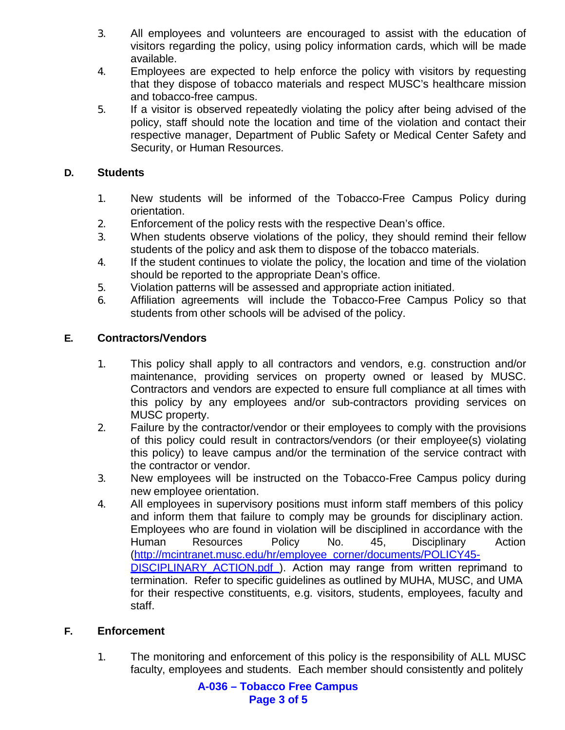- 3. All employees and volunteers are encouraged to assist with the education of visitors regarding the policy, using policy information cards, which will be made available.
- 4. Employees are expected to help enforce the policy with visitors by requesting that they dispose of tobacco materials and respect MUSC's healthcare mission and tobacco-free campus.
- 5. If a visitor is observed repeatedly violating the policy after being advised of the policy, staff should note the location and time of the violation and contact their respective manager, Department of Public Safety or Medical Center Safety and Security, or Human Resources.

### **D. Students**

- 1. New students will be informed of the Tobacco-Free Campus Policy during orientation.
- 2. Enforcement of the policy rests with the respective Dean's office.
- 3. When students observe violations of the policy, they should remind their fellow students of the policy and ask them to dispose of the tobacco materials.
- 4. If the student continues to violate the policy, the location and time of the violation should be reported to the appropriate Dean's office.
- 5. Violation patterns will be assessed and appropriate action initiated.
- 6. Affiliation agreements will include the Tobacco-Free Campus Policy so that students from other schools will be advised of the policy.

#### **E. Contractors/Vendors**

- 1. This policy shall apply to all contractors and vendors, e.g. construction and/or maintenance, providing services on property owned or leased by MUSC. Contractors and vendors are expected to ensure full compliance at all times with this policy by any employees and/or sub-contractors providing services on MUSC property.
- 2. Failure by the contractor/vendor or their employees to comply with the provisions of this policy could result in contractors/vendors (or their employee(s) violating this policy) to leave campus and/or the termination of the service contract with the contractor or vendor.
- 3. New employees will be instructed on the Tobacco-Free Campus policy during new employee orientation.
- 4. All employees in supervisory positions must inform staff members of this policy and inform them that failure to comply may be grounds for disciplinary action. Employees who are found in violation will be disciplined in accordance with the Human Resources Policy No. 45, [Disciplinary](http://www.musc.edu/hrm2/policies/policy45.html) [Action](http://mcintranet.musc.edu/hr/employee_corner/documents/POLICY45-DISCIPLINARY_ACTION.pdf) [\(http://mcintranet.musc.edu/hr/employee\\_corner/documents/POLICY45-](http://mcintranet.musc.edu/hr/employee_corner/documents/POLICY45-DISCIPLINARY_ACTION.pdf) DISCIPLINARY ACTION.pdf). Action may range from written reprimand to termination. Refer to specific guidelines as outlined by MUHA, MUSC, and UMA for their respective constituents, e.g. visitors, students, employees, faculty and staff.

#### **F. Enforcement**

1. The monitoring and enforcement of this policy is the responsibility of ALL MUSC faculty, employees and students. Each member should consistently and politely

> **A-036 – Tobacco Free Campus Page 3 of 5**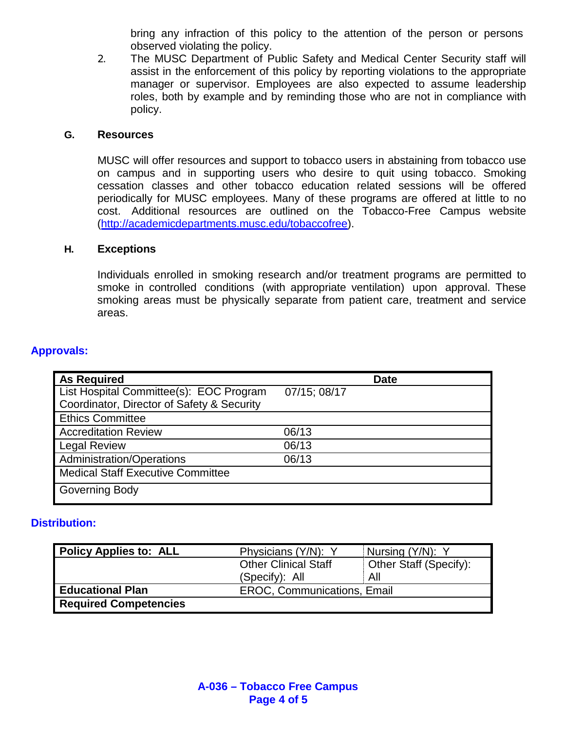bring any infraction of this policy to the attention of the person or persons observed violating the policy.

2. The MUSC Department of Public Safety and Medical Center Security staff will assist in the enforcement of this policy by reporting violations to the appropriate manager or supervisor. Employees are also expected to assume leadership roles, both by example and by reminding those who are not in compliance with policy.

#### **G. Resources**

MUSC will offer resources and support to tobacco users in abstaining from tobacco use on campus and in supporting users who desire to quit using tobacco. Smoking cessation classes and other tobacco education related sessions will be offered periodically for MUSC employees. Many of these programs are offered at little to no cost. Additional resources are outlined on the Tobacco-Free Campus website [\(http://academicdepartments.musc.edu/tobaccofree\)](http://academicdepartments.musc.edu/tobaccofree).

#### **H. Exceptions**

Individuals enrolled in smoking research and/or treatment programs are permitted to smoke in controlled conditions (with appropriate ventilation) upon approval. These smoking areas must be physically separate from patient care, treatment and service areas.

#### **Approvals:**

| <b>As Required</b>                         | <b>Date</b>  |
|--------------------------------------------|--------------|
| List Hospital Committee(s): EOC Program    | 07/15; 08/17 |
| Coordinator, Director of Safety & Security |              |
| <b>Ethics Committee</b>                    |              |
| <b>Accreditation Review</b>                | 06/13        |
| <b>Legal Review</b>                        | 06/13        |
| Administration/Operations                  | 06/13        |
| <b>Medical Staff Executive Committee</b>   |              |
| Governing Body                             |              |

#### **Distribution:**

| <b>Policy Applies to: ALL</b> | Physicians (Y/N): Y                | Nursing (Y/N): Y       |
|-------------------------------|------------------------------------|------------------------|
|                               | Other Clinical Staff               | Other Staff (Specify): |
|                               | (Specify): All                     | All                    |
| <b>Educational Plan</b>       | <b>EROC, Communications, Email</b> |                        |
| <b>Required Competencies</b>  |                                    |                        |